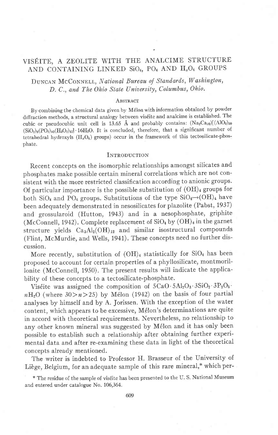# VISEITE, A ZEOLITE WITH THE ANALCIME STRUCTURE AND CONTAINING LINKED SiO<sub>4</sub>, PO<sub>4</sub> AND H<sub>z</sub>O<sub>4</sub> GROUPS

# DUNCAN MCCONNELL, National Bureau of Standards, Washington, D. C., and The Ohio State University, Columbus, Ohio.

#### **ABSTRACT**

By combining the chemical data given by M6lon with information obtained by powder drfiraction methods, a structural analogy between vis6ite and analcime is established. The cubic or pseudocubic unit cell is 13.65 Å and probably contains:  $(Na_2Ca_{10})[(AlO_2)_{20}$  $(SiO_2)_6(PO_2)_{10}(H_3O_2)_{12}$ . 16H<sub>2</sub>O. It is concluded, therefore, that a significant number of tetrahedral hydroxyls  $(H<sub>x</sub>O<sub>4</sub>)$  groups) occur in the framework of this tectosilicate-phosphate.

#### INTRODUCTION

Recent concepts on the isomorphic relationships amongst silicates and phosphates make possible certain mineral correlations which are not consistent with the more restricted classification according to anionic groups. Of particular importance is the possible substitution of  $(OH)_4$  groups for both SiO<sub>4</sub> and PO<sub>4</sub> groups. Substitutions of the type  $SiO_4 \rightarrow (OH)_4$  have been adequately demonstrated in nesosilicates for plazolite (Pabst, 1937) and grossularoid (Hutton, 1943) and in a nesophosphate, griphite (McConnell, 1942). Complete replacement of  $SiO<sub>4</sub>$  by  $(OH)<sub>4</sub>$  in the garnet structure yields  $Ca<sub>3</sub>Al<sub>2</sub>(OH)<sub>12</sub>$  and similar isostructural compounds (Flint, McMurdie, and Wells, 1941). These concepts need no further discussion.

More recently, substitution of  $(OH)_4$  statistically for  $SiO_4$  has been proposed to account for certain properties of a phyllosilicate, montmorillonite (McConnell, 1950). The present results will indicate the applicability of these concepts to a tectosilicate-phosphate.

Viséite was assigned the composition of  $5CaO \cdot 5Al_2O_3 \cdot 3SiO_2 \cdot 3P_2O_5$ .  $nH<sub>2</sub>O$  (where 30> $n$ >25) by Mélon (1942) on the basis of four partial analyses by himself and by A. Jorissen. With the exception of the water content, which appears to be excessive, Mélon's determinations are quite in accord with theoretical requirements. Nevertheless, no relationship to any other known mineral was suggested by Mélon and it has only been possible to establish such a relationship after obtaining further experimental data and after re-examining these data in light of the theoretical concepts already mentioned.

The writer is indebted to Professor H. Brasseur of the University of Liège, Belgium, for an adequate sample of this rare mineral,\* which per-

<sup>\*</sup> The residue of the sample of vis6ite has been presented to the U. S. National Museum and entered under catalogue No. 106,364.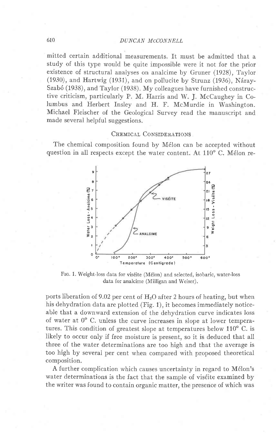### 610 DUNCAN MCCONNELL

mitted certain additional measurements. It must be admitted that a study of this type would be quite impossible were it not for the prior existence of structural analyses on analcime by Gruner (1928), Taylor  $(1930)$ , and Hartwig  $(1931)$ , and on pollucite by Strunz  $(1936)$ . Náray-Szab6 (1938), and Taylor (1938). My colleagues have furnished constructive criticism, particularly P. M. Harris and W. J. McCaughey in Columbus and Herbert Insley and H. F. McMurdie in Washington. Michael Fleischer of the Geological Survey read the manuscript and made several helpful suggestions.

## CHEMICAL CONSIDERATIONS

The chemical composition found by Mélon can be accepted without question in all respects except the water content. At  $110^{\circ}$  C. Mélon re-



FIG. 1. Weight-loss data for viséite (Mélon) and selected, isobaric, water-loss data for analcime (Milligan and Weiser).

ports liberation of 9.02 per cent of  $H_2O$  after 2 hours of heating, but when his dehydration data are plotted (Fig. 1), it becomes immediately noticeable that a downward extension of the dehydration curve indicates loss of water at  $0^{\circ}$  C. unless the curve increases in slope at lower temperatures. This condition of greatest slope at temperatures below 110° C. is likely to occur only if free moisture is present, so it is deduced that all three of the water determinations are too high and that the average is too high by several per cent when compared with proposed theoretical composition.

A further complication which causes uncertainty in regard to M6lon's water determinations is the fact that the sample of viséite examined by the writer was found to contain organic matter, the presence of which was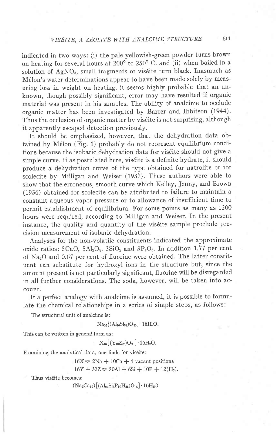indicated in two ways: (i) the pale yellowish-green powder turns brown on heating for several hours at 200" to 250" C. and (ii) when boiled in a solution of AgNO<sub>3</sub>, small fragments of viséite turn black. Inasmuch as Mélon's water determinations appear to have been made solely by measuring loss in weight on heating, it seems highly probable that an unknown, though possibly significant, error may have resulted if organic material was present in his samples. The ability of analcime to occlude organic matter has been investigated by Barrer and Ibbitson (194a). Thus the occlusion of organic matter by viséite is not surprising, although it apparently escaped detection previously.

It should be emphasized, however, that the dehydration data obtained by Mélon (Fig. 1) probably do not represent equilibrium conditions because the isobaric dehydration data for vis6ite should not give a simple curve. If as postulated here, viséite is a definite hydrate, it should produce a dehydration curve of the type obtained for natrolite or for scolecite by Milligan and Weiser (1937). These authors were able to show that the erroneous, smooth curve which Kelley, Jenny, and Brown (1936) obtained for scolecite can be attributed to failure to maintain a constant aqueous vapor pressure or to allowance of insufficient time to permit establishment of equilibrium. For some points as many as 1200 hours were required, according to Milligan and Weiser. In the present instance, the quality and quantity of the vis6ite sample preclude precision measurement of isobaric dehydration.

Analyses for the non-volatile constituents indicated the approximate oxide ratios:  $5CaO$ ,  $5Al_2O_3$ ,  $3SiO_2$  and  $3P_2O_5$ . In addition 1.77 per cent of  $Na<sub>2</sub>O$  and 0.67 per cent of fluorine were obtained. The latter constituent can substitute for hydroxyl ions in the structure but, since the amount present is not particularly significant, fluorine will be disregarded in all further considerations. The soda, however, will be taken into account.

If a perfect analogy with analcime is assumed, it is possible to formulate the chemical relationships in a series of simple steps, as follows:

The structural unit of analcime is:

 $\text{Na}_{16}[(\text{Al}_{16}\text{Si}_{32})\text{O}_{96}] \cdot 16\text{H}_{2}\text{O}.$ 

This can be written in general form as:

 $X_{16}$ [(Y<sub>16</sub>Z<sub>32</sub>)O<sub>96</sub>] · 16H<sub>2</sub>O.

Examining the analytical data, one finds for vis6ite:

 $16X \approx 2Na + 10Ca + 4$  vacant positions

 $16Y + 32Z \approx 20A1 + 6Si + 10P + 12(H_3).$ 

Thus viséite becomes:

 $(Na_2Ca_{10}) [(Al_{20}Si_6P_{10}H_{36})O_{96}] \cdot 16H_2O$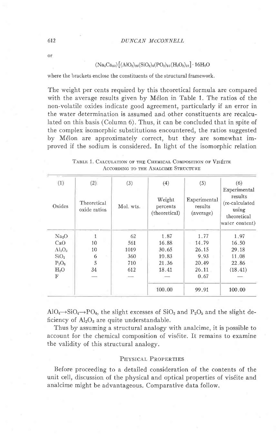### 612 DUNCAN MCCONNELL

or

## $(Na_2Ca_{10}) [(AlO_2)_{20} (SiO_2)_6 (PO_2)_{10} (H_3O_2)_{12}] \cdot 16H_2O$

where the brackets enclose the constituents of the structural framework.

The weight per cents required by this theoretical formula are compared with the average results given by Mélon in Table 1. The ratios of the non-volatile oxides indicate good agreement, particularly if an error in the water determination is assumed and other constituents are recalculated on this basis (Column 6). Thus, it can be concluded that in spite of the complex isomorphic substitutions encountered, the ratios suggested by M6lon are approximately correct, but they are somewhat improved if the sodium is considered. In light of the isomorphic relation

| (1)               | (2)                         | (3)                      | (4)                                 | (5)                                  | (6)                                                                                 |  |
|-------------------|-----------------------------|--------------------------|-------------------------------------|--------------------------------------|-------------------------------------------------------------------------------------|--|
| Oxides            | Theoretical<br>oxide ratios | Mol. wts.                | Weight<br>percents<br>(theoretical) | Experimental<br>results<br>(average) | Experimental<br>results<br>(re-calculated<br>using<br>theoretical<br>water content) |  |
| Na <sub>2</sub> O | 1                           | 62                       | 1.87                                | 1.77                                 | 1.97                                                                                |  |
| CaO               | 10                          | 561                      | 16.88                               | 14.79                                | 16.50                                                                               |  |
| $Al_2O_3$         | 10                          | 1019                     | 30.65                               | 26.15                                | 29.18                                                                               |  |
| SiO <sub>2</sub>  | 6                           | 360                      | 10.83                               | 9.93                                 | 11.08                                                                               |  |
| $P_2O_5$          | 5                           | 710                      | 21.36                               | 20.49                                | 22.86                                                                               |  |
| H <sub>2</sub> O  | 34                          | 612                      | 18.41                               | 26.11                                | (18.41)                                                                             |  |
| $_{\rm F}$        |                             | $\overline{\phantom{a}}$ |                                     | 0.67                                 |                                                                                     |  |
|                   |                             |                          | 100.00                              | 99.91                                | 100.00                                                                              |  |

TABLE 1. CALCULATION OF THE CHEMICAL COMPOSITION OF VISÉITE ACCORDING TO THE ANALCIME STRUCTURE

 $AlO_4 \rightarrow SiO_4 \rightarrow PO_4$ , the slight excesses of  $SiO_2$  and  $P_2O_5$  and the slight deficiency of  $Al_2O_3$  are quite understandable.

Thus by assuming a structural analogy with analcime, it is possible to account for the chemical composition of viséite. It remains to examine the validity of this structural analogy.

### PHYSICAL PROPERTIES

Before proceeding to a detailed consideration of the contents of the unit cell, discussion of the physical and optical properties of viséite and analcime might be advantageous. Comparative data follow.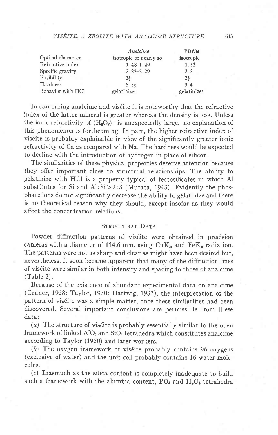### VISEITE, A ZEOLITE WITH ANALCIME STRUCTURE 613

|                   | Analcime               | Viséite        |
|-------------------|------------------------|----------------|
| Optical character | isotropic or nearly so | isotropic      |
| Refractive index  | $1.48 - 1.49$          | 1.53           |
| Specific gravity  | $2.22 - 2.29$          | 2.2            |
| Fusibility        | $2\frac{1}{2}$         | $2\frac{1}{2}$ |
| Hardness          | $5 - 5\frac{1}{2}$     | $3 - 4$        |
| Behavior with HCl | gelatinizes            | gelatinizes    |

In comparing analcime and vis6ite it is noteworthy that the refractive index of the latter mineral is greater whereas the density is less. Unless the ionic refractivity of  $(H_3O_2)^-$  is unexpectedly large, no explanation of this phenomenon is forthcoming. In part, the higher refractive index of viséite is probably explainable in view of the significantly greater ionic refractivity of Ca as compared with Na. The hardness would be expected to decline with the introduction of hydrogen in place of silicon.

The similarities of these physical properties deserve attention because they ofier important clues to structural relationships. The ability to gelatinize with HCI is a property typical of tectosilicates in which Al substitutes for Si and Al: Si > 2:3 (Murata, 1943). Evidently the phosphate ions do not significantly decrease the ability to gelatinize and there is no theoretical reason why they should, except insofar as they would afiect the concentration relations.

# STRUCTURAL DATA

Powder diffraction patterns of viséite were obtained in precision cameras with a diameter of 114.6 mm. using  $CuK_{\alpha}$  and  $FeK_{\alpha}$  radiation. The patterns were not as sharp and clear as might have been desired but, nevertheless, it soon became apparent that many of the difiraction lines of vis6ite were similar in both intensity and spacing to those of analcime (Table 2).

Because of the existence of abundant experimental data on analcime (Gruner, 1928; Taylor, 1930; Hartwig, 1931), the interpretation of the pattern of vis6ite was a simple matter, once these similarities had been discovered. Several important conclusions are permissible from these data:

 $(a)$  The structure of viséite is probably essentially similar to the open framework of linked  $AIO<sub>4</sub>$  and  $SiO<sub>4</sub>$  tetrahedra which constitutes analcime according to Taylor (1930) and later workers.

(b) The oxygen framework of vis6ite probably contains 96 oxygens (exclusive of water) and the unit cell probably contains 16 water molecules.

(c) Inasmuch as the silica content is completely inadequate to build such a framework with the alumina content,  $PO_4$  and  $H_2O_4$  tetrahedra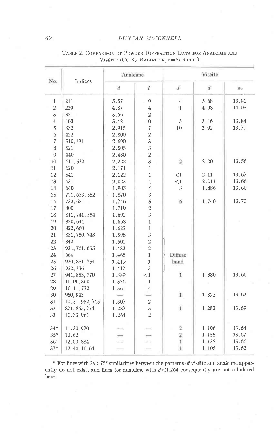# DUNCAN MCCONNELL

| No.            | Indices         | Analcime                 |                  | Viséite          |                |                |  |
|----------------|-----------------|--------------------------|------------------|------------------|----------------|----------------|--|
|                |                 | $\boldsymbol{d}$         | $\boldsymbol{I}$ | $\boldsymbol{I}$ | $\overline{d}$ | a <sub>0</sub> |  |
| 1              | 211             | 5.57                     | 9                | $\overline{4}$   | 5.68           | 13.91          |  |
| $\,2$          | 220             | 4.87                     | $\overline{4}$   | $\mathbf{1}$     | 4.98           | 14.08          |  |
| 3              | 321             | 3.66                     | $\boldsymbol{2}$ |                  |                |                |  |
| $\overline{4}$ | 400             | 3.42                     | 10               | 5                | 3.46           | 13.84          |  |
| 5              | 332             | 2.915                    | $\overline{7}$   | 10               | 2.92           | 13.70          |  |
| 6              | 422             | 2.800                    | $\overline{2}$   |                  |                |                |  |
| $\overline{7}$ | 510, 431        | 2.690                    | 3                |                  |                |                |  |
| 8              | 521             | 2.505                    | 3                |                  |                |                |  |
| 9              | 440             | 2.430                    | $\overline{2}$   |                  |                |                |  |
| 10             | 611, 532        | 2.222                    | $\overline{3}$   | $\mathbf{2}$     | 2.20           | 13.56          |  |
| 11             | 620             | 2.171                    | $\mathbf{1}$     |                  |                |                |  |
| 12             | 541             | 2.122                    | $\mathbf{1}$     | $\leq$ 1         | 2.11           | 13.67          |  |
| 13             | 631             | 2.023                    | $1\,$            | $\leq$ 1         | 2.014          | 13.66          |  |
| 14             | 640             | 1.903                    | $\bf 4$          | 3                | 1.886          | 13.60          |  |
| $15\,$         | 721, 633, 552   | 1.870                    | $\overline{3}$   |                  |                |                |  |
| 16             | 732, 651        | 1.746                    | $\overline{5}$   | 6                | 1.740          | 13.70          |  |
| 17             | 800             | 1.719                    | $\overline{c}$   |                  |                |                |  |
| 18             | 811, 741, 554   | 1.692                    | 3                |                  |                |                |  |
| 19             | 820, 644        | 1.668                    | $\mathbf{1}$     |                  |                |                |  |
| 20             | 822,660         | 1.622                    | $1\,$            |                  |                |                |  |
| 21             | 831, 750, 743   | 1.598                    | 3                |                  |                |                |  |
| 22             | 842             | 1.501                    | $\boldsymbol{2}$ |                  |                |                |  |
| 23             | 921, 761, 655   | 1.482                    | $\overline{c}$   |                  |                |                |  |
| $24\,$         | 664             | 1.465                    | $\,1$            | Diffuse          |                |                |  |
| 25             | 930, 851, 754   | 1.449                    | $1\,$            | band             |                |                |  |
| 26             | 932, 736        | 1.417                    | 3                |                  |                |                |  |
| 27             | 941, 853, 770   | 1.389                    | $<\!1$           | $\mathbf{1}$     | 1.380          | 13.66          |  |
| 28             | 10.00, 860      | 1.376                    | $\mathbf{1}$     |                  |                |                |  |
| 29             | 10.11, 772      | 1.361                    | $\overline{4}$   |                  |                |                |  |
| 30             | 950, 943        | $\overline{\phantom{a}}$ |                  | $\mathbf{1}$     | 1.323          | 13.62          |  |
| 31             | 10.31, 952, 765 | 1.307                    | $\boldsymbol{2}$ |                  |                |                |  |
| 32             | 871, 855, 774   | 1.287                    | 3                | $\mathbf{1}$     | 1.282          | 13.69          |  |
| 33             | 10.33, 961      | 1.264                    | $\overline{2}$   |                  |                |                |  |
| $34*$          | 11.30, 970      |                          |                  | $\mathbf{2}$     | 1.196          | 13.64          |  |
| $35*$          | 10.62           |                          |                  | $\overline{2}$   | 1.155          | 13.67          |  |
| $36*$          | 12.00, 884      |                          |                  | $\mathbf{1}$     | 1.138          | 13.66          |  |
| $37*$          | 12.40, 10.64    |                          |                  | $\overline{1}$   | 1.105          | 13.62          |  |

# TABLE 2. COMPARISON OF POWDER DIFFRACTION DATA FOR ANALCIME AND VISÉITE (CU  $K_{\alpha}$  RADIATION,  $r = 57.3$  mm.)

 $*$  For lines with  $2\theta > 75^{\circ}$  similarities between the patterns of viséite and analcime apparently do not exist, and lines for analcime with  $d < 1.264$  consequently are not tabulated here.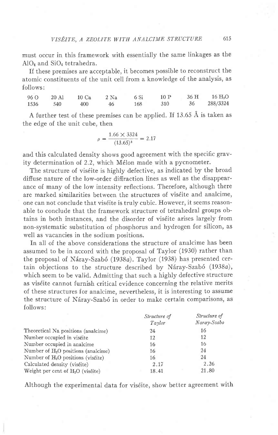must occur in this framework with essentially the same linkages as the AlO<sub>4</sub> and SiO<sub>4</sub> tetrahedra.

If these premises are acceptable, it becomes possible to reconstruct the atomic constituents of the unit cell from a knowledge of the analysis, as follows:

|      |     | 96 O 20 Al 10 Ca 2 Na 6 Si |    |     |     | $10 P$ $36 H$ $16 H2O$ |
|------|-----|----------------------------|----|-----|-----|------------------------|
| 1536 | 540 | 400                        | 46 | 168 | 310 | 36 288/3324            |

A further test of these premises can be applied. If 13.65 A is taken as the edge of the unit cube, then

$$
\rho = \frac{1.66 \times 3324}{(13.65)^3} = 2.17
$$

and this calculated density shows good agreement with the specific gravity determination of 2.2, which Mélon made with a pycnometer.

The structure of viséite is highly defective, as indicated by the broad diffuse nature of the low-order difiraction lines as well as the disappearance of many of the Iow intensity reflections. Therefore, although there are marked similarities between the structures of vis6ite and analcime, one can not conclude that vis6ite is truly cubic. However, it seems reasonable to conclude that the framework structure of tetrahedral groups obtains in both instances, and the disorder of viséite arises largely from non-systematic substitution of phosphorus and hydrogen for silicon, as well as vacancies in the sodium positions.

In all of the above considerations the structure of analcime has been assumed to be in accord with the proposal of Taylor (1930) rather than the proposal of Náray-Szabó (1938a). Taylor (1938) has presented certain objections to the structure described by Náray-Szabó (1938a), which seem to be valid. Admitting that such a highly defective structure as vis6ite cannot furnish critical evidence concerning the relative merits of these structures for analcime, nevertheless, it is interesting to assume the structure of Náray-Szabó in order to make certain comparisons, as follows:

|                                       | Structure of<br>Taylor | Structure of<br>Naray-Szabo |
|---------------------------------------|------------------------|-----------------------------|
| Theoretical Na positions (analcime)   | 24                     | 16                          |
| Number occupied in viséite            | 12                     | 12                          |
| Number occupied in analcime.          | 16                     | 16                          |
| Number of $H_2O$ positions (analcime) | 16                     | 24                          |
| Number of $H_2O$ positions (viséite)  | 16                     | 24                          |
| Calculated density (viséite)          | 2.17                   | 2.26                        |
| Weight per cent of $H_2O$ (viséite)   | 18.41                  | 21.80                       |

Although the experimental data for viséite, show better agreement with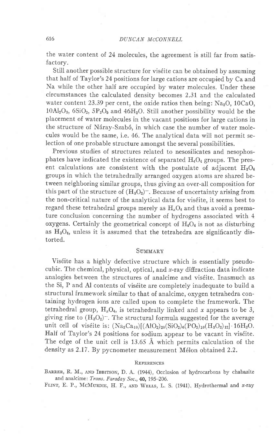the water content of 24 molecules, the agreement is still far from satisfactory.

Still another possible structure for vis6ite can be obtained by assuming that half of Taylor's 24 positions for large cations are occupied by Ca and Na while the other half are occupied by water molecules. Under these circumstances the calculated density becomes 2.31 and the calculated water content 23.39 per cent, the oxide ratios then being:  $Na<sub>2</sub>O$ ,  $10CaO$ .  $10\text{Al}_2\text{O}_3$ ,  $6\text{SiO}_2$ ,  $5\text{P}_2\text{O}_5$  and  $46\text{H}_2\text{O}$ . Still another possibility would be the placement of water molecules in the vacant positions for large cations in the structure of Náray-Szabó, in which case the number of water molecules would be the same, i.e. 46. The analytical data will not permit selection of one probable structure amongst the several possibilities.

Previous studies of structures related to nesosilicates and nesophosphates have indicated the existence of separated  $H_4O_4$  groups. The present calculations are consistent with the postulate of adjacent  $H_3O_4$ groups in which the tetrahedrally arranged oxygen atoms are shared between neighboring similar groups, thus giving an over-all composition for this part of the structure of  $(H_3O_2)$ . Because of uncertainty arising from the non-critical nature of the analytical data for vis6ite, it seems best to regard these tetrahedral groups merely as  $H_xO_4$  and thus avoid a premature conclusion concerning the number of hydrogens associated with 4 oxygens. Certainly the geometrical concept of  $H_4O_4$  is not as disturbing as  $H_3O_4$ , unless it is assumed that the tetrahedra are significantly distorted.

### SUMMARY

Viséite has a highly defective structure which is essentially pseudocubic. The chemical, physical, optical, and x-ray difiraction data indicate analogies between the structures of analcime and viséite. Inasmuch as the Si, P and Al contents of vis6ite are completely inadequate to build a structural framework similar to that of analcime, oxygen tetrahedra containing hydrogen ions are called upon to complete the framework. The tetrahedral group,  $H_xO_4$ , is tetrahedrally linked and x appears to be 3, giving rise to  $(H_3O_2)^-$ . The structural formula suggested for the average unit cell of viséite is:  $(Na_2Ca_{10})[(AlO_2)_{20}(SiO_2)_6(PO_2)_{10}(H_3O_2)_{12}] \cdot 16H_2O.$ Half of Taylor's 24 positions for sodium appear to be vacant in viséite. The edge of the unit cell is 13.65 Å which permits calculation of the density as 2.17. By pycnometer measurement Mélon obtained 2.2.

#### **REFERENCES**

BARRER, R. M., AND IBBITSON, D. A. (1944), Occlusion of hydrocarbons by chabazite and analcime: Trans. Faraday Soc., 40, 195-206.

FLINT, E. P., MCMURDIE, H. F., AND WELLS, L. S. (1941), Hydrothermal and x-ray